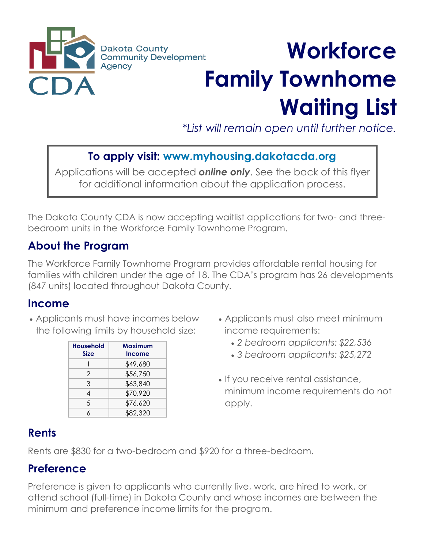

# **Workforce Family Townhome Waiting List**

*\*List will remain open until further notice.*

## **To apply visit: www.myhousing.dakotacda.org**

Applications will be accepted *online only*. See the back of this flyer for additional information about the application process.

The Dakota County CDA is now accepting waitlist applications for two- and threebedroom units in the Workforce Family Townhome Program.

#### **About the Program**

The Workforce Family Townhome Program provides affordable rental housing for families with children under the age of 18. The CDA's program has 26 developments (847 units) located throughout Dakota County.

#### **Income**

• Applicants must have incomes below the following limits by household size:

| <b>Household</b><br><b>Size</b> | Maximum<br><b>Income</b> |
|---------------------------------|--------------------------|
|                                 | \$49,680                 |
| $\mathcal{P}$                   | \$56,750                 |
| 3                               | \$63,840                 |
| 4                               | \$70,920                 |
| 5                               | \$76,620                 |
| К                               | \$82,320                 |

- Applicants must also meet minimum income requirements:
	- *2 bedroom applicants: \$22,536*
	- *3 bedroom applicants: \$25,272*
- If you receive rental assistance, minimum income requirements do not apply.

## **Rents**

Rents are \$830 for a two-bedroom and \$920 for a three-bedroom.

### **Preference**

Preference is given to applicants who currently live, work, are hired to work, or attend school (full-time) in Dakota County and whose incomes are between the minimum and preference income limits for the program.